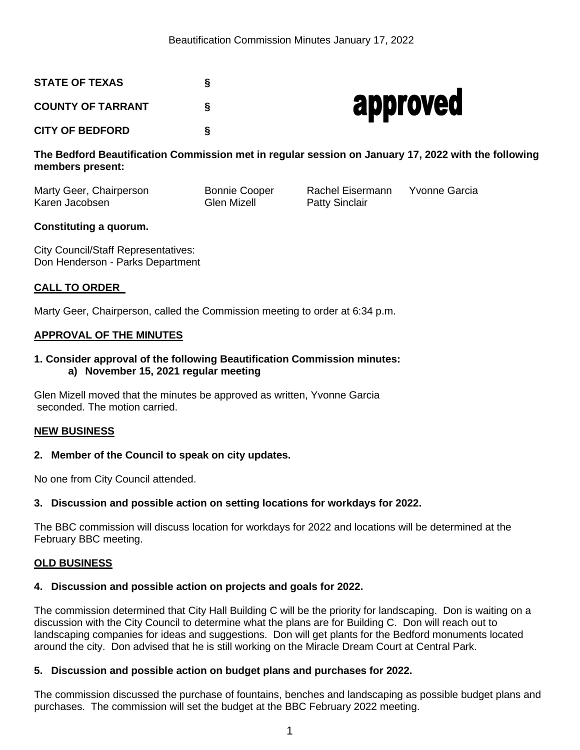# **STATE OF TEXAS § COUNTY OF TARRANT §**

**CITY OF BEDFORD §**



**The Bedford Beautification Commission met in regular session on January 17, 2022 with the following members present:** 

Marty Geer, Chairperson Bonnie Cooper Rachel Eisermann Yvonne Garcia Karen Jacobsen Glen Mizell Patty Sinclair

# **Constituting a quorum.**

City Council/Staff Representatives: Don Henderson - Parks Department

## **CALL TO ORDER**

Marty Geer, Chairperson, called the Commission meeting to order at 6:34 p.m.

## **APPROVAL OF THE MINUTES**

## **1. Consider approval of the following Beautification Commission minutes: a) November 15, 2021 regular meeting**

Glen Mizell moved that the minutes be approved as written, Yvonne Garcia seconded. The motion carried.

#### **NEW BUSINESS**

## **2. Member of the Council to speak on city updates.**

No one from City Council attended.

## **3. Discussion and possible action on setting locations for workdays for 2022.**

The BBC commission will discuss location for workdays for 2022 and locations will be determined at the February BBC meeting.

#### **OLD BUSINESS**

#### **4. Discussion and possible action on projects and goals for 2022.**

The commission determined that City Hall Building C will be the priority for landscaping. Don is waiting on a discussion with the City Council to determine what the plans are for Building C. Don will reach out to landscaping companies for ideas and suggestions. Don will get plants for the Bedford monuments located around the city. Don advised that he is still working on the Miracle Dream Court at Central Park.

## **5. Discussion and possible action on budget plans and purchases for 2022.**

The commission discussed the purchase of fountains, benches and landscaping as possible budget plans and purchases. The commission will set the budget at the BBC February 2022 meeting.